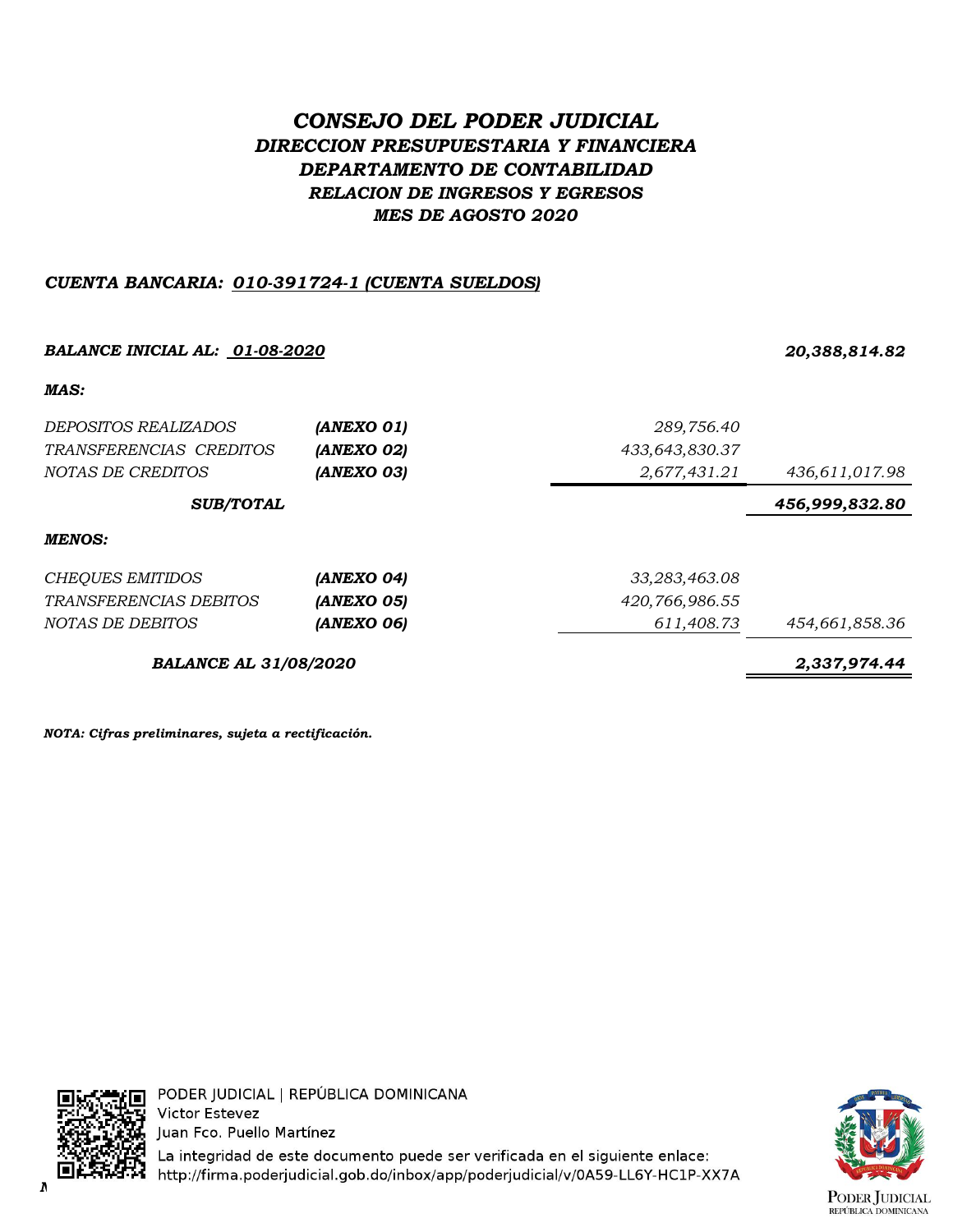# *CONSEJO DEL PODER JUDICIAL DIRECCION PRESUPUESTARIA Y FINANCIERA DEPARTAMENTO DE CONTABILIDAD RELACION DE INGRESOS Y EGRESOS MES DE AGOSTO 2020*

# *CUENTA BANCARIA: 010-391724-1 (CUENTA SUELDOS)*

# *BALANCE INICIAL AL: 01-08-2020 20,388,814.82 MAS: DEPOSITOS REALIZADOS (ANEXO 01) 289,756.40 TRANSFERENCIAS CREDITOS (ANEXO 02) 433,643,830.37 NOTAS DE CREDITOS (ANEXO 03) 2,677,431.21 436,611,017.98 456,999,832.80 MENOS: CHEQUES EMITIDOS (ANEXO 04) 33,283,463.08 TRANSFERENCIAS DEBITOS (ANEXO 05) 420,766,986.55 NOTAS DE DEBITOS (ANEXO 06) 611,408.73 454,661,858.36 BALANCE AL 31/08/2020 2,337,974.44 SUB/TOTAL*

*NOTA: Cifras preliminares, sujeta a rectificación.*



PODER JUDICIAL | REPÚBLICA DOMINICANA **Victor Estevez** Juan Fco. Puello Martínez

La integridad de este documento puede ser verificada en el siguiente enlace: *NOTA: Cifras preliminares, sujetas a rectificación.*

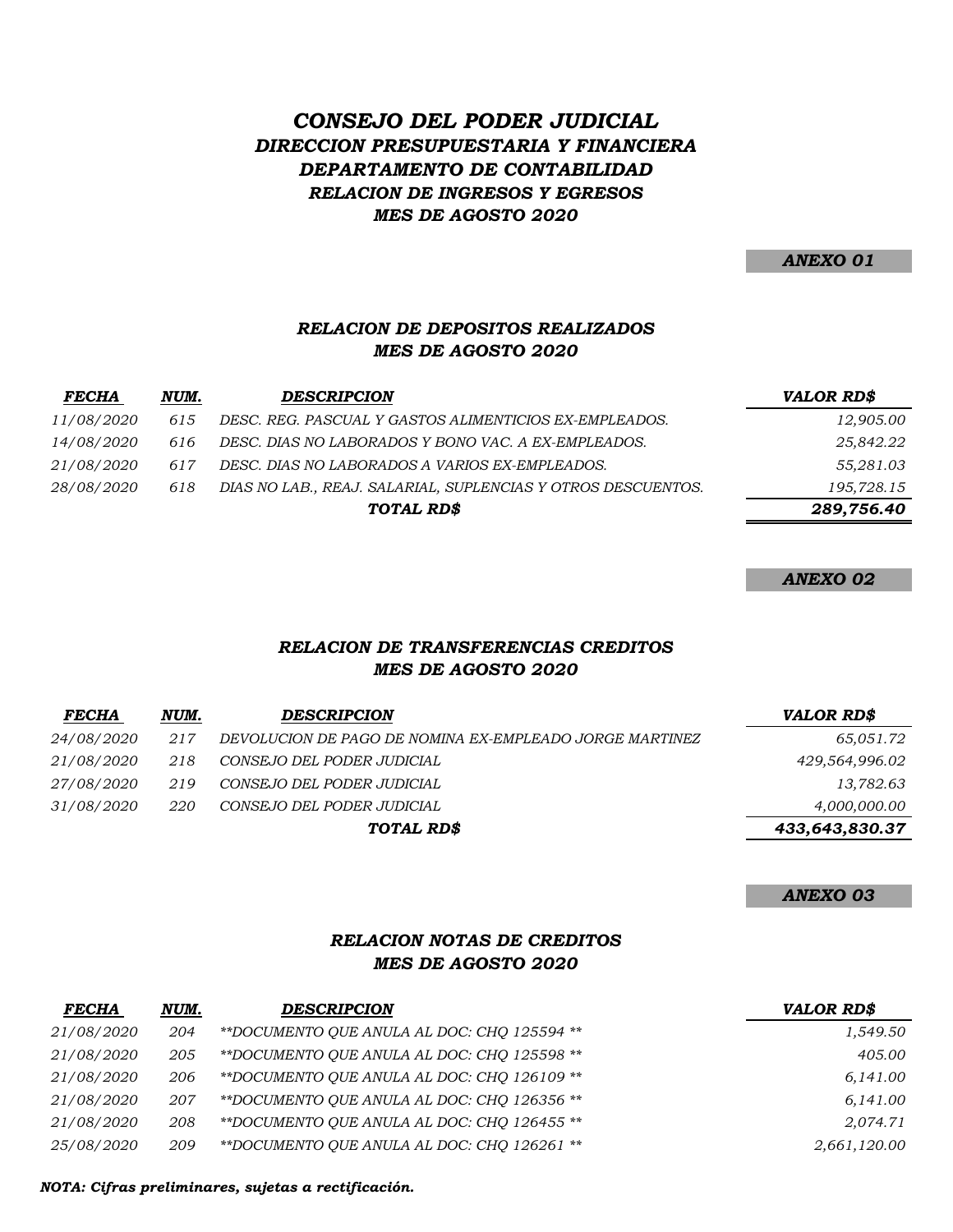# *CONSEJO DEL PODER JUDICIAL DIRECCION PRESUPUESTARIA Y FINANCIERA DEPARTAMENTO DE CONTABILIDAD RELACION DE INGRESOS Y EGRESOS MES DE AGOSTO 2020*

*ANEXO 01*

### *RELACION DE DEPOSITOS REALIZADOS MES DE AGOSTO 2020*

| <b>FECHA</b>      | NUM. | <b>DESCRIPCION</b>                                           | <b>VALOR RD\$</b> |
|-------------------|------|--------------------------------------------------------------|-------------------|
| 11/08/2020        | 615  | DESC. REG. PASCUAL Y GASTOS ALIMENTICIOS EX-EMPLEADOS.       | 12,905.00         |
| <i>14/08/2020</i> | 616  | DESC. DIAS NO LABORADOS Y BONO VAC. A EX-EMPLEADOS.          | 25,842.22         |
| 21/08/2020        | 617  | DESC. DIAS NO LABORADOS A VARIOS EX-EMPLEADOS.               | 55,281.03         |
| <i>28/08/2020</i> | 618  | DIAS NO LAB., REAJ. SALARIAL, SUPLENCIAS Y OTROS DESCUENTOS. | 195,728.15        |
|                   |      | TOTAL RD\$                                                   | 289,756.40        |

*ANEXO 02*

### *RELACION DE TRANSFERENCIAS CREDITOS MES DE AGOSTO 2020*

| <b>FECHA</b>      | NUM. | <b>DESCRIPCION</b>                                      | <b>VALOR RD\$</b> |
|-------------------|------|---------------------------------------------------------|-------------------|
| <i>24/08/2020</i> | 217  | DEVOLUCION DE PAGO DE NOMINA EX-EMPLEADO JORGE MARTINEZ | 65,051.72         |
| <i>21/08/2020</i> | 218  | CONSEJO DEL PODER JUDICIAL                              | 429,564,996.02    |
| <i>27/08/2020</i> | 219  | CONSEJO DEL PODER JUDICIAL                              | 13,782.63         |
| <i>31/08/2020</i> | 220  | CONSEJO DEL PODER JUDICIAL                              | 4,000,000.00      |
|                   |      | TOTAL RD\$                                              | 433,643,830.37    |

*ANEXO 03*

# *RELACION NOTAS DE CREDITOS MES DE AGOSTO 2020*

| <b>FECHA</b>      | NUM. | <b>DESCRIPCION</b>                          | <b>VALOR RD\$</b> |
|-------------------|------|---------------------------------------------|-------------------|
| 21/08/2020        | 204  | **DOCUMENTO OUE ANULA AL DOC: CHO 125594 ** | 1,549.50          |
| 21/08/2020        | 205  | **DOCUMENTO OUE ANULA AL DOC: CHO 125598 ** | 405.00            |
| <i>21/08/2020</i> | 206  | **DOCUMENTO QUE ANULA AL DOC: CHO 126109 ** | 6,141.00          |
| 21/08/2020        | 207  | **DOCUMENTO OUE ANULA AL DOC: CHO 126356 ** | 6,141.00          |
| 21/08/2020        | 208  | **DOCUMENTO OUE ANULA AL DOC: CHO 126455 ** | 2.074.71          |
| <i>25/08/2020</i> | 209  | **DOCUMENTO OUE ANULA AL DOC: CHO 126261 ** | 2,661,120.00      |

*NOTA: Cifras preliminares, sujetas a rectificación.*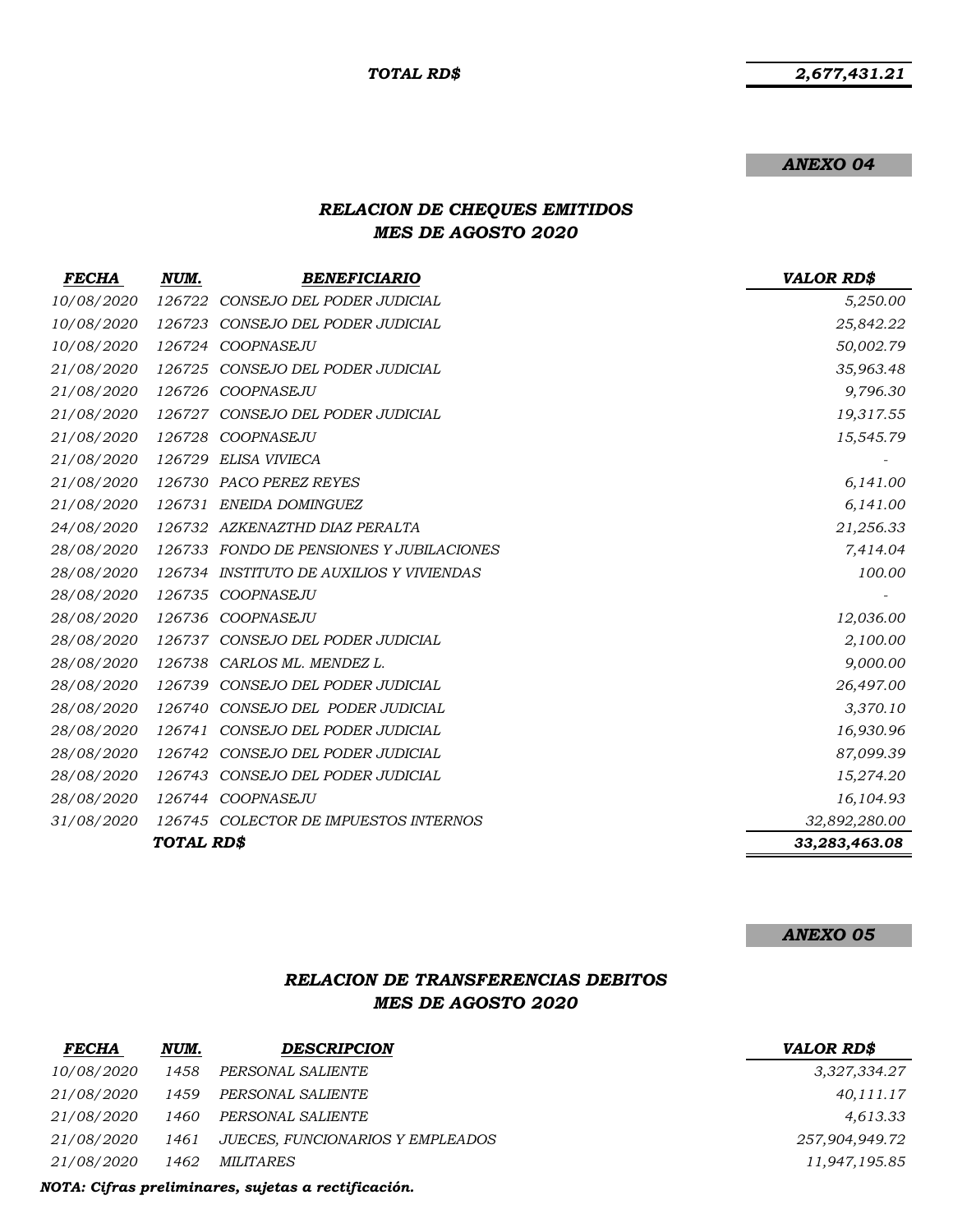*2,677,431.21*

#### *ANEXO 04*

# *RELACION DE CHEQUES EMITIDOS MES DE AGOSTO 2020*

| <b>FECHA</b> | NUM.              | <b>BENEFICIARIO</b>                      | <b>VALOR RD\$</b> |
|--------------|-------------------|------------------------------------------|-------------------|
| 10/08/2020   | 126722            | CONSEJO DEL PODER JUDICIAL               | 5,250.00          |
| 10/08/2020   |                   | 126723 CONSEJO DEL PODER JUDICIAL        | 25,842.22         |
| 10/08/2020   |                   | 126724 COOPNASEJU                        | 50,002.79         |
| 21/08/2020   |                   | 126725 CONSEJO DEL PODER JUDICIAL        | 35,963.48         |
| 21/08/2020   |                   | 126726 COOPNASEJU                        | 9,796.30          |
| 21/08/2020   |                   | 126727 CONSEJO DEL PODER JUDICIAL        | 19,317.55         |
| 21/08/2020   |                   | 126728 COOPNASEJU                        | 15,545.79         |
| 21/08/2020   |                   | 126729 ELISA VIVIECA                     |                   |
| 21/08/2020   |                   | 126730 PACO PEREZ REYES                  | 6,141.00          |
| 21/08/2020   |                   | 126731 ENEIDA DOMINGUEZ                  | 6,141.00          |
| 24/08/2020   |                   | 126732 AZKENAZTHD DIAZ PERALTA           | 21,256.33         |
| 28/08/2020   |                   | 126733 FONDO DE PENSIONES Y JUBILACIONES | 7,414.04          |
| 28/08/2020   |                   | 126734 INSTITUTO DE AUXILIOS Y VIVIENDAS | 100.00            |
| 28/08/2020   |                   | 126735 COOPNASEJU                        |                   |
| 28/08/2020   |                   | 126736 COOPNASEJU                        | 12,036.00         |
| 28/08/2020   |                   | 126737 CONSEJO DEL PODER JUDICIAL        | 2,100.00          |
| 28/08/2020   |                   | 126738 CARLOS ML. MENDEZ L.              | 9,000.00          |
| 28/08/2020   |                   | 126739 CONSEJO DEL PODER JUDICIAL        | 26,497.00         |
| 28/08/2020   |                   | 126740 CONSEJO DEL PODER JUDICIAL        | 3,370.10          |
| 28/08/2020   |                   | 126741 CONSEJO DEL PODER JUDICIAL        | 16,930.96         |
| 28/08/2020   |                   | 126742 CONSEJO DEL PODER JUDICIAL        | 87,099.39         |
| 28/08/2020   |                   | 126743 CONSEJO DEL PODER JUDICIAL        | 15,274.20         |
| 28/08/2020   |                   | 126744 COOPNASEJU                        | 16,104.93         |
| 31/08/2020   |                   | 126745 COLECTOR DE IMPUESTOS INTERNOS    | 32,892,280.00     |
|              | <b>TOTAL RD\$</b> |                                          | 33,283,463.08     |

#### *ANEXO 05*

# *RELACION DE TRANSFERENCIAS DEBITOS MES DE AGOSTO 2020*

| <b>FECHA</b>      | NUM. | <b>DESCRIPCION</b>               | <b>VALOR RD\$</b> |
|-------------------|------|----------------------------------|-------------------|
| <i>10/08/2020</i> | 1458 | PERSONAL SALIENTE                | 3,327,334.27      |
| <i>21/08/2020</i> | 1459 | PERSONAL SALIENTE                | 40,111.17         |
| <i>21/08/2020</i> | 1460 | PERSONAL SALIENTE                | 4,613.33          |
| <i>21/08/2020</i> | 1461 | JUECES, FUNCIONARIOS Y EMPLEADOS | 257,904,949.72    |
| <i>21/08/2020</i> | 1462 | <i>MILITARES</i>                 | 11,947,195.85     |
|                   |      |                                  |                   |

*NOTA: Cifras preliminares, sujetas a rectificación.*